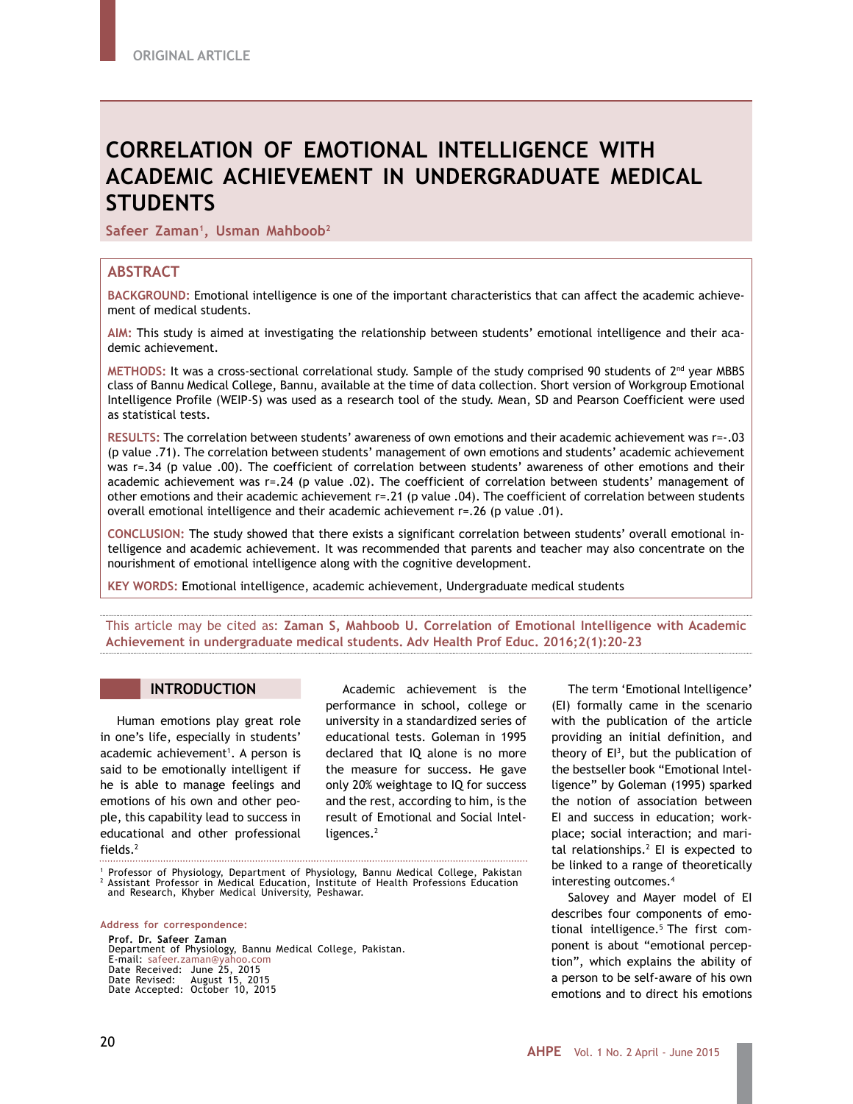# **CORRELATION OF EMOTIONAL INTELLIGENCE WITH ACADEMIC ACHIEVEMENT IN UNDERGRADUATE MEDICAL STUDENTS**

Safeer Zaman<sup>1</sup>, Usman Mahboob<sup>2</sup>

## **ABSTRACT**

**BACKGROUND:** Emotional intelligence is one of the important characteristics that can affect the academic achievement of medical students.

**AIM:** This study is aimed at investigating the relationship between students' emotional intelligence and their academic achievement.

**METHODS:** It was a cross-sectional correlational study. Sample of the study comprised 90 students of 2nd year MBBS class of Bannu Medical College, Bannu, available at the time of data collection. Short version of Workgroup Emotional Intelligence Profile (WEIP-S) was used as a research tool of the study. Mean, SD and Pearson Coefficient were used as statistical tests.

**RESULTS:** The correlation between students' awareness of own emotions and their academic achievement was r=-.03 (p value .71). The correlation between students' management of own emotions and students' academic achievement was r=.34 (p value .00). The coefficient of correlation between students' awareness of other emotions and their academic achievement was r=.24 (p value .02). The coefficient of correlation between students' management of other emotions and their academic achievement r=.21 (p value .04). The coefficient of correlation between students overall emotional intelligence and their academic achievement r=.26 (p value .01).

**CONCLUSION:** The study showed that there exists a significant correlation between students' overall emotional intelligence and academic achievement. It was recommended that parents and teacher may also concentrate on the nourishment of emotional intelligence along with the cognitive development.

**KEY WORDS:** Emotional intelligence, academic achievement, Undergraduate medical students

This article may be cited as: **Zaman S, Mahboob U. Correlation of Emotional Intelligence with Academic Achievement in undergraduate medical students. Adv Health Prof Educ. 2016;2(1):20-23**

## **INTRODUCTION**

Human emotions play great role in one's life, especially in students' academic achievement<sup>1</sup>. A person is said to be emotionally intelligent if he is able to manage feelings and emotions of his own and other people, this capability lead to success in educational and other professional fields.2

Academic achievement is the performance in school, college or university in a standardized series of educational tests. Goleman in 1995 declared that IQ alone is no more the measure for success. He gave only 20% weightage to IQ for success and the rest, according to him, is the result of Emotional and Social Intelligences.<sup>2</sup>

1 Professor of Physiology, Department of Physiology, Bannu Medical College, Pakistan <sup>2</sup> Assistant Professor in Medical Education, Institute of Health Professions Education and Research, Khyber Medical University, Peshawar.

**Address for correspondence:**

**Prof. Dr. Safeer Zaman** Department of Physiology, Bannu Medical College, Pakistan. E-mail: safeer.zaman@yahoo.com Date Received: June 25, 2015 Date Revised: August 15, 2015 Date Accepted: October 10, 2015

The term 'Emotional Intelligence' (EI) formally came in the scenario with the publication of the article providing an initial definition, and theory of EI3 , but the publication of the bestseller book "Emotional Intelligence" by Goleman (1995) sparked the notion of association between EI and success in education; workplace; social interaction; and marital relationships.2 EI is expected to be linked to a range of theoretically interesting outcomes.4

Salovey and Mayer model of EI describes four components of emotional intelligence.<sup>5</sup> The first component is about "emotional perception", which explains the ability of a person to be self-aware of his own emotions and to direct his emotions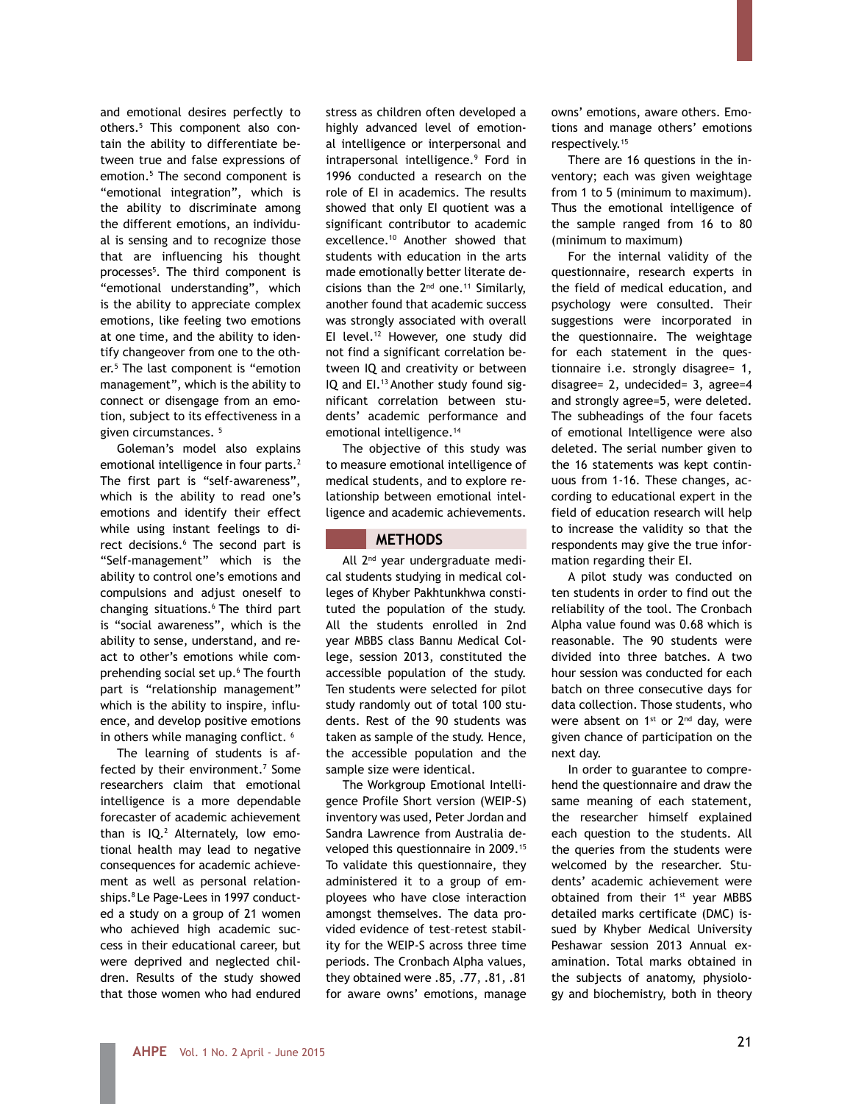and emotional desires perfectly to others.5 This component also contain the ability to differentiate between true and false expressions of emotion.5 The second component is "emotional integration", which is the ability to discriminate among the different emotions, an individual is sensing and to recognize those that are influencing his thought processes<sup>5</sup>. The third component is "emotional understanding", which is the ability to appreciate complex emotions, like feeling two emotions at one time, and the ability to identify changeover from one to the other.5 The last component is "emotion management", which is the ability to connect or disengage from an emotion, subject to its effectiveness in a given circumstances. 5

Goleman's model also explains emotional intelligence in four parts.2 The first part is "self-awareness", which is the ability to read one's emotions and identify their effect while using instant feelings to direct decisions.<sup>6</sup> The second part is "Self-management" which is the ability to control one's emotions and compulsions and adjust oneself to changing situations.6 The third part is "social awareness", which is the ability to sense, understand, and react to other's emotions while comprehending social set up.6 The fourth part is "relationship management" which is the ability to inspire, influence, and develop positive emotions in others while managing conflict.<sup>6</sup>

The learning of students is affected by their environment.<sup>7</sup> Some researchers claim that emotional intelligence is a more dependable forecaster of academic achievement than is  $IQ.<sup>2</sup>$  Alternately, low emotional health may lead to negative consequences for academic achievement as well as personal relationships.8 Le Page-Lees in 1997 conducted a study on a group of 21 women who achieved high academic success in their educational career, but were deprived and neglected children. Results of the study showed that those women who had endured

stress as children often developed a highly advanced level of emotional intelligence or interpersonal and intrapersonal intelligence.9 Ford in 1996 conducted a research on the role of EI in academics. The results showed that only EI quotient was a significant contributor to academic excellence.10 Another showed that students with education in the arts made emotionally better literate decisions than the  $2<sup>nd</sup>$  one.<sup>11</sup> Similarly, another found that academic success was strongly associated with overall EI level.<sup>12</sup> However, one study did not find a significant correlation between IQ and creativity or between IQ and EI.<sup>13</sup> Another study found significant correlation between students' academic performance and emotional intelligence.<sup>14</sup>

The objective of this study was to measure emotional intelligence of medical students, and to explore relationship between emotional intelligence and academic achievements.

# **METHODS**

All 2nd year undergraduate medical students studying in medical colleges of Khyber Pakhtunkhwa constituted the population of the study. All the students enrolled in 2nd year MBBS class Bannu Medical College, session 2013, constituted the accessible population of the study. Ten students were selected for pilot study randomly out of total 100 students. Rest of the 90 students was taken as sample of the study. Hence, the accessible population and the sample size were identical.

The Workgroup Emotional Intelligence Profile Short version (WEIP-S) inventory was used, Peter Jordan and Sandra Lawrence from Australia developed this questionnaire in 2009.15 To validate this questionnaire, they administered it to a group of employees who have close interaction amongst themselves. The data provided evidence of test–retest stability for the WEIP-S across three time periods. The Cronbach Alpha values, they obtained were .85, .77, .81, .81 for aware owns' emotions, manage

owns' emotions, aware others. Emotions and manage others' emotions respectively.<sup>15</sup>

There are 16 questions in the inventory; each was given weightage from 1 to 5 (minimum to maximum). Thus the emotional intelligence of the sample ranged from 16 to 80 (minimum to maximum)

For the internal validity of the questionnaire, research experts in the field of medical education, and psychology were consulted. Their suggestions were incorporated in the questionnaire. The weightage for each statement in the questionnaire i.e. strongly disagree= 1, disagree= 2, undecided= 3, agree=4 and strongly agree=5, were deleted. The subheadings of the four facets of emotional Intelligence were also deleted. The serial number given to the 16 statements was kept continuous from 1-16. These changes, according to educational expert in the field of education research will help to increase the validity so that the respondents may give the true information regarding their EI.

A pilot study was conducted on ten students in order to find out the reliability of the tool. The Cronbach Alpha value found was 0.68 which is reasonable. The 90 students were divided into three batches. A two hour session was conducted for each batch on three consecutive days for data collection. Those students, who were absent on  $1^{st}$  or  $2^{nd}$  day, were given chance of participation on the next day.

In order to guarantee to comprehend the questionnaire and draw the same meaning of each statement, the researcher himself explained each question to the students. All the queries from the students were welcomed by the researcher. Students' academic achievement were obtained from their 1<sup>st</sup> year MBBS detailed marks certificate (DMC) issued by Khyber Medical University Peshawar session 2013 Annual examination. Total marks obtained in the subjects of anatomy, physiology and biochemistry, both in theory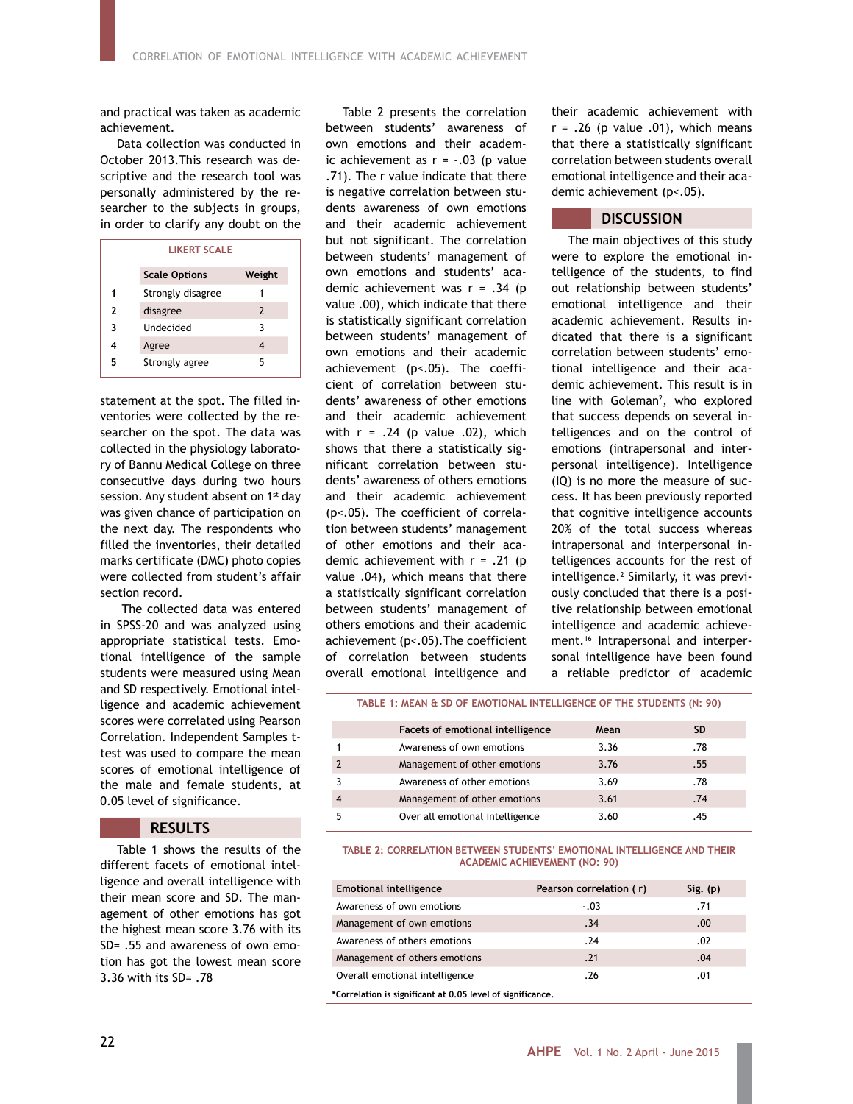and practical was taken as academic achievement.

Data collection was conducted in October 2013.This research was descriptive and the research tool was personally administered by the researcher to the subjects in groups, in order to clarify any doubt on the

| <b>LIKERT SCALE</b> |                      |               |  |  |  |
|---------------------|----------------------|---------------|--|--|--|
|                     | <b>Scale Options</b> | Weight        |  |  |  |
|                     | Strongly disagree    |               |  |  |  |
| 2                   | disagree             | $\mathcal{L}$ |  |  |  |
| 3                   | Undecided            | 3             |  |  |  |
| 4                   | Agree                |               |  |  |  |
| 5                   | Strongly agree       | 5             |  |  |  |

statement at the spot. The filled inventories were collected by the researcher on the spot. The data was collected in the physiology laboratory of Bannu Medical College on three consecutive days during two hours session. Any student absent on 1<sup>st</sup> day was given chance of participation on the next day. The respondents who filled the inventories, their detailed marks certificate (DMC) photo copies were collected from student's affair section record.

 The collected data was entered in SPSS-20 and was analyzed using appropriate statistical tests. Emotional intelligence of the sample students were measured using Mean and SD respectively. Emotional intelligence and academic achievement scores were correlated using Pearson Correlation. Independent Samples ttest was used to compare the mean scores of emotional intelligence of the male and female students, at 0.05 level of significance.

## **RESULTS**

Table 1 shows the results of the different facets of emotional intelligence and overall intelligence with their mean score and SD. The management of other emotions has got the highest mean score 3.76 with its SD= .55 and awareness of own emotion has got the lowest mean score 3.36 with its SD= .78

Table 2 presents the correlation between students' awareness of own emotions and their academic achievement as  $r = -.03$  (p value .71). The r value indicate that there is negative correlation between students awareness of own emotions and their academic achievement but not significant. The correlation between students' management of own emotions and students' academic achievement was  $r = .34$  (p value .00), which indicate that there is statistically significant correlation between students' management of own emotions and their academic achievement (p<.05). The coefficient of correlation between students' awareness of other emotions and their academic achievement with  $r = .24$  (p value  $.02$ ), which shows that there a statistically significant correlation between students' awareness of others emotions and their academic achievement (p<.05). The coefficient of correlation between students' management of other emotions and their academic achievement with  $r = .21$  (p value .04), which means that there a statistically significant correlation between students' management of others emotions and their academic achievement (p<.05).The coefficient of correlation between students overall emotional intelligence and

their academic achievement with  $r = .26$  (p value .01), which means that there a statistically significant correlation between students overall emotional intelligence and their academic achievement (p<.05).

### **DISCUSSION**

The main objectives of this study were to explore the emotional intelligence of the students, to find out relationship between students' emotional intelligence and their academic achievement. Results indicated that there is a significant correlation between students' emotional intelligence and their academic achievement. This result is in line with Goleman<sup>2</sup>, who explored that success depends on several intelligences and on the control of emotions (intrapersonal and interpersonal intelligence). Intelligence (IQ) is no more the measure of success. It has been previously reported that cognitive intelligence accounts 20% of the total success whereas intrapersonal and interpersonal intelligences accounts for the rest of intelligence.2 Similarly, it was previously concluded that there is a positive relationship between emotional intelligence and academic achievement.16 Intrapersonal and interpersonal intelligence have been found a reliable predictor of academic

|                | TABLE 1: MEAN & SD OF EMOTIONAL INTELLIGENCE OF THE STUDENTS (N: 90) |      |           |  |  |
|----------------|----------------------------------------------------------------------|------|-----------|--|--|
|                | Facets of emotional intelligence                                     | Mean | <b>SD</b> |  |  |
|                | Awareness of own emotions                                            | 3.36 | .78       |  |  |
|                | Management of other emotions                                         | 3.76 | .55       |  |  |
|                | Awareness of other emotions                                          | 3.69 | .78       |  |  |
| $\overline{4}$ | Management of other emotions                                         | 3.61 | .74       |  |  |
| 5              | Over all emotional intelligence                                      | 3.60 | .45       |  |  |

**TABLE 2: CORRELATION BETWEEN STUDENTS' EMOTIONAL INTELLIGENCE AND THEIR ACADEMIC ACHIEVEMENT (NO: 90)**

| <b>Emotional intelligence</b>                              | Pearson correlation (r) | $Sig.$ (p) |  |  |  |  |
|------------------------------------------------------------|-------------------------|------------|--|--|--|--|
| Awareness of own emotions                                  | $-.03$                  | .71        |  |  |  |  |
| Management of own emotions                                 | .34                     | .00.       |  |  |  |  |
| Awareness of others emotions                               | .24                     | .02        |  |  |  |  |
| Management of others emotions                              | .21                     | .04        |  |  |  |  |
| Overall emotional intelligence                             | .26                     | .01        |  |  |  |  |
| *Correlation is significant at 0.05 level of significance. |                         |            |  |  |  |  |